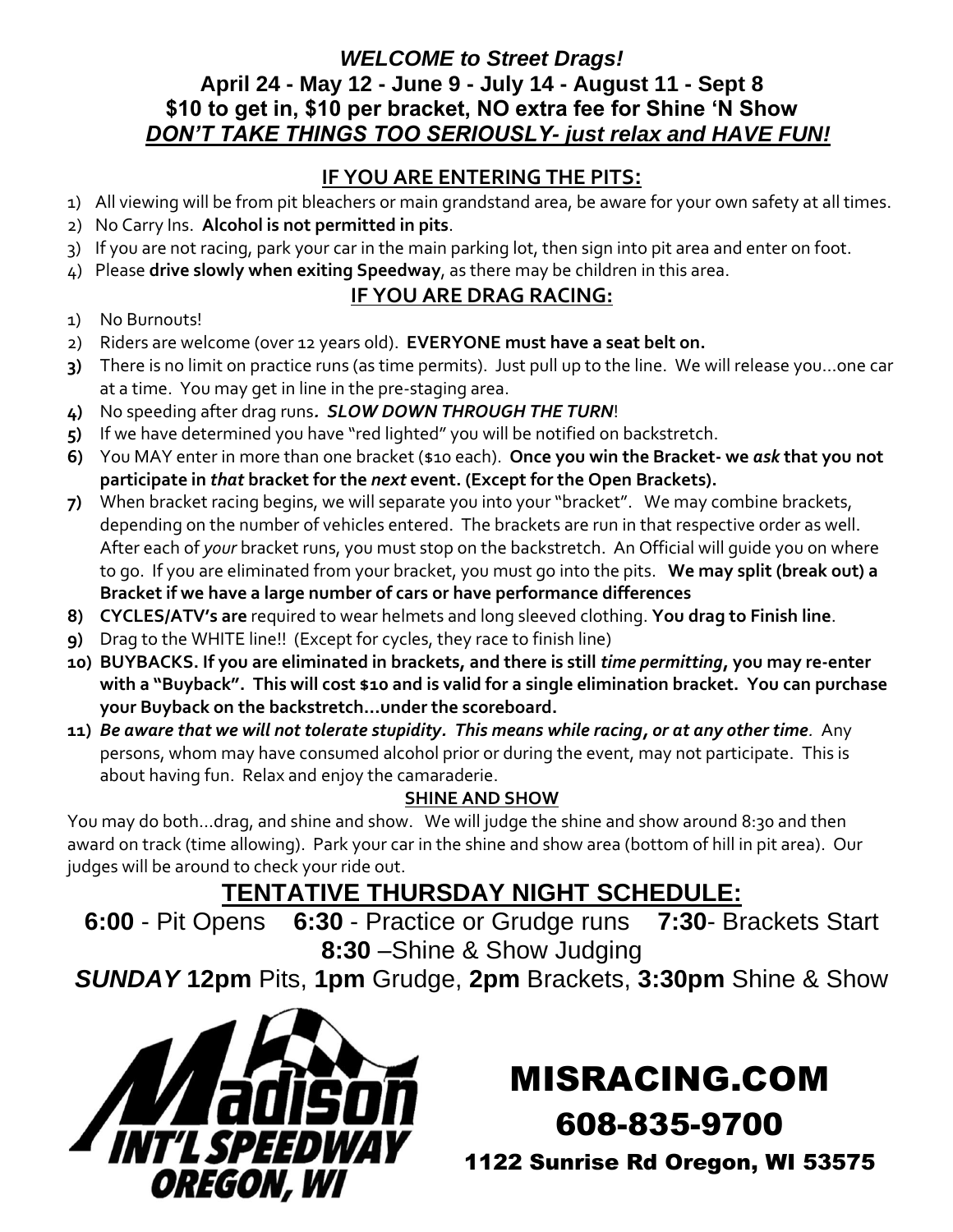#### *WELCOME to Street Drags!* **April 24 - May 12 - June 9 - July 14 - August 11 - Sept 8 \$10 to get in, \$10 per bracket, NO extra fee for Shine 'N Show**  *DON'T TAKE THINGS TOO SERIOUSLY- just relax and HAVE FUN!*

## **IF YOU ARE ENTERING THE PITS:**

- 1) All viewing will be from pit bleachers or main grandstand area, be aware for your own safety at all times.
- 2) No Carry Ins. **Alcohol is not permitted in pits**.
- 3) If you are not racing, park your car in the main parking lot, then sign into pit area and enter on foot.
- 4) Please **drive slowly when exiting Speedway**, as there may be children in this area.

### **IF YOU ARE DRAG RACING:**

- 1) No Burnouts!
- 2) Riders are welcome (over 12 years old). **EVERYONE must have a seat belt on.**
- **3)** There is no limit on practice runs (as time permits). Just pull up to the line. We will release you…one car at a time. You may get in line in the pre-staging area.
- **4)** No speeding after drag runs*. SLOW DOWN THROUGH THE TURN*!
- **5)** If we have determined you have "red lighted" you will be notified on backstretch.
- **6)** You MAY enter in more than one bracket (\$10 each). **Once you win the Bracket- we** *ask* **that you not participate in** *that* **bracket for the** *next* **event. (Except for the Open Brackets).**
- **7)** When bracket racing begins, we will separate you into your "bracket". We may combine brackets, depending on the number of vehicles entered. The brackets are run in that respective order as well. After each of *your* bracket runs, you must stop on the backstretch. An Official will guide you on where to go. If you are eliminated from your bracket, you must go into the pits. **We may split (break out) a Bracket if we have a large number of cars or have performance differences**
- **8) CYCLES/ATV's are** required to wear helmets and long sleeved clothing. **You drag to Finish line**.
- **9)** Drag to the WHITE line!! (Except for cycles, they race to finish line)
- **10) BUYBACKS. If you are eliminated in brackets, and there is still** *time permitting***, you may re-enter with a "Buyback". This will cost \$10 and is valid for a single elimination bracket. You can purchase your Buyback on the backstretch…under the scoreboard.**
- **11)** *Be aware that we will not tolerate stupidity. This means while racing, or at any other time.* Any persons, whom may have consumed alcohol prior or during the event, may not participate. This is about having fun. Relax and enjoy the camaraderie.

#### **SHINE AND SHOW**

You may do both...drag, and shine and show. We will judge the shine and show around 8:30 and then award on track (time allowing). Park your car in the shine and show area (bottom of hill in pit area). Our judges will be around to check your ride out.

# **TENTATIVE THURSDAY NIGHT SCHEDULE:**

**6:00** - Pit Opens **6:30** - Practice or Grudge runs **7:30**- Brackets Start **8:30** –Shine & Show Judging

*SUNDAY* **12pm** Pits, **1pm** Grudge, **2pm** Brackets, **3:30pm** Shine & Show



# MISRACING.COM

608-835-9700

1122 Sunrise Rd Oregon, WI 53575